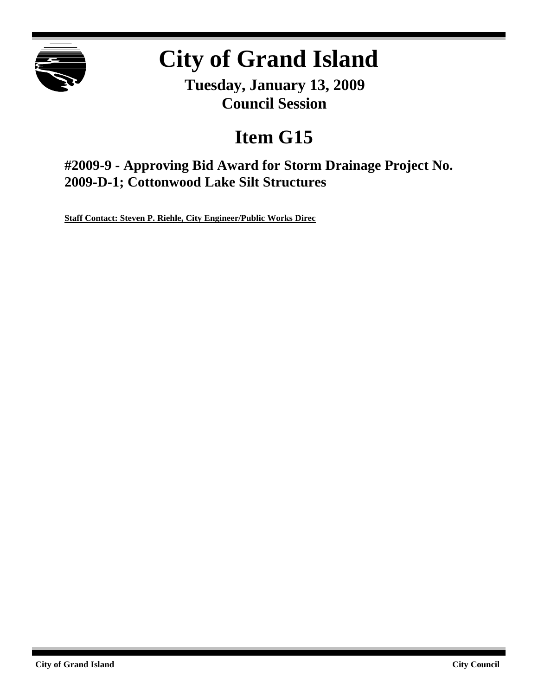

# **City of Grand Island**

**Tuesday, January 13, 2009 Council Session**

## **Item G15**

**#2009-9 - Approving Bid Award for Storm Drainage Project No. 2009-D-1; Cottonwood Lake Silt Structures**

**Staff Contact: Steven P. Riehle, City Engineer/Public Works Direc**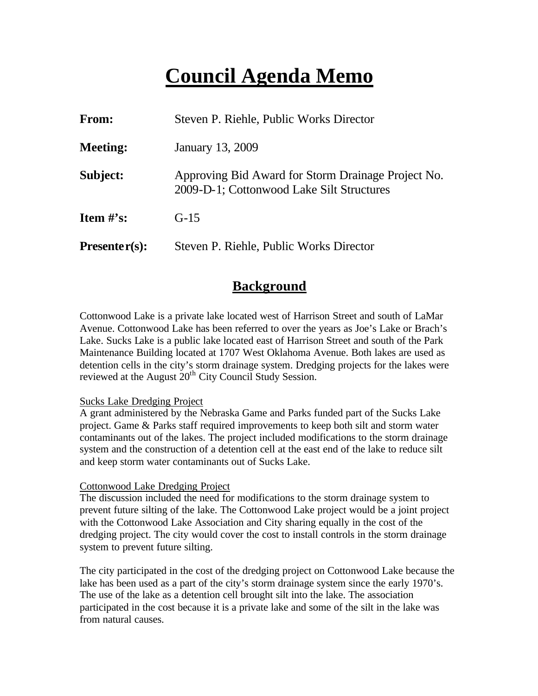## **Council Agenda Memo**

| From:           | Steven P. Riehle, Public Works Director                                                         |
|-----------------|-------------------------------------------------------------------------------------------------|
| <b>Meeting:</b> | January 13, 2009                                                                                |
| Subject:        | Approving Bid Award for Storm Drainage Project No.<br>2009-D-1; Cottonwood Lake Silt Structures |
| Item $\#$ 's:   | $G-15$                                                                                          |
| $Presenter(s):$ | Steven P. Riehle, Public Works Director                                                         |

## **Background**

Cottonwood Lake is a private lake located west of Harrison Street and south of LaMar Avenue. Cottonwood Lake has been referred to over the years as Joe's Lake or Brach's Lake. Sucks Lake is a public lake located east of Harrison Street and south of the Park Maintenance Building located at 1707 West Oklahoma Avenue. Both lakes are used as detention cells in the city's storm drainage system. Dredging projects for the lakes were reviewed at the August 20<sup>th</sup> City Council Study Session.

#### Sucks Lake Dredging Project

A grant administered by the Nebraska Game and Parks funded part of the Sucks Lake project. Game & Parks staff required improvements to keep both silt and storm water contaminants out of the lakes. The project included modifications to the storm drainage system and the construction of a detention cell at the east end of the lake to reduce silt and keep storm water contaminants out of Sucks Lake.

#### Cottonwood Lake Dredging Project

The discussion included the need for modifications to the storm drainage system to prevent future silting of the lake. The Cottonwood Lake project would be a joint project with the Cottonwood Lake Association and City sharing equally in the cost of the dredging project. The city would cover the cost to install controls in the storm drainage system to prevent future silting.

The city participated in the cost of the dredging project on Cottonwood Lake because the lake has been used as a part of the city's storm drainage system since the early 1970's. The use of the lake as a detention cell brought silt into the lake. The association participated in the cost because it is a private lake and some of the silt in the lake was from natural causes.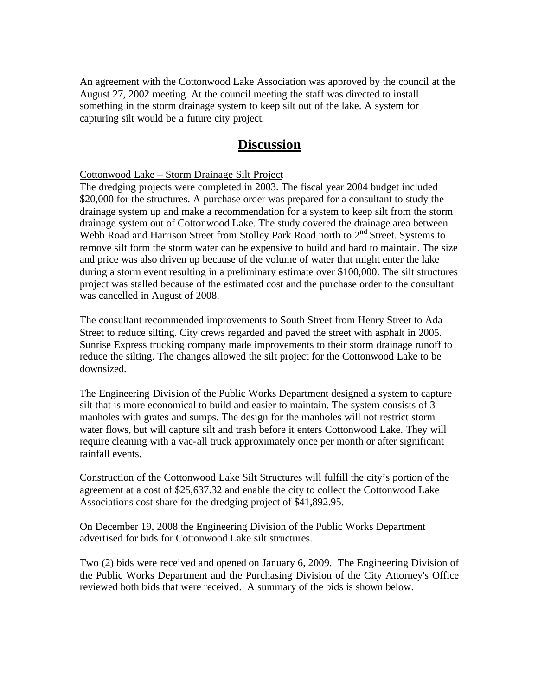An agreement with the Cottonwood Lake Association was approved by the council at the August 27, 2002 meeting. At the council meeting the staff was directed to install something in the storm drainage system to keep silt out of the lake. A system for capturing silt would be a future city project.

## **Discussion**

#### Cottonwood Lake – Storm Drainage Silt Project

The dredging projects were completed in 2003. The fiscal year 2004 budget included \$20,000 for the structures. A purchase order was prepared for a consultant to study the drainage system up and make a recommendation for a system to keep silt from the storm drainage system out of Cottonwood Lake. The study covered the drainage area between Webb Road and Harrison Street from Stolley Park Road north to 2<sup>nd</sup> Street. Systems to remove silt form the storm water can be expensive to build and hard to maintain. The size and price was also driven up because of the volume of water that might enter the lake during a storm event resulting in a preliminary estimate over \$100,000. The silt structures project was stalled because of the estimated cost and the purchase order to the consultant was cancelled in August of 2008.

The consultant recommended improvements to South Street from Henry Street to Ada Street to reduce silting. City crews regarded and paved the street with asphalt in 2005. Sunrise Express trucking company made improvements to their storm drainage runoff to reduce the silting. The changes allowed the silt project for the Cottonwood Lake to be downsized.

The Engineering Division of the Public Works Department designed a system to capture silt that is more economical to build and easier to maintain. The system consists of 3 manholes with grates and sumps. The design for the manholes will not restrict storm water flows, but will capture silt and trash before it enters Cottonwood Lake. They will require cleaning with a vac-all truck approximately once per month or after significant rainfall events.

Construction of the Cottonwood Lake Silt Structures will fulfill the city's portion of the agreement at a cost of \$25,637.32 and enable the city to collect the Cottonwood Lake Associations cost share for the dredging project of \$41,892.95.

On December 19, 2008 the Engineering Division of the Public Works Department advertised for bids for Cottonwood Lake silt structures.

Two (2) bids were received and opened on January 6, 2009. The Engineering Division of the Public Works Department and the Purchasing Division of the City Attorney's Office reviewed both bids that were received. A summary of the bids is shown below.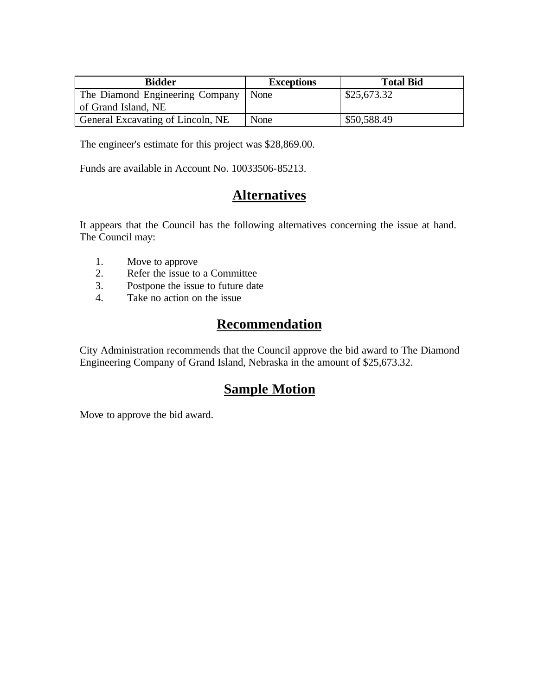| <b>Bidder</b>                     | <b>Exceptions</b> | <b>Total Bid</b> |
|-----------------------------------|-------------------|------------------|
| The Diamond Engineering Company   | l None            | \$25,673.32      |
| of Grand Island, NE               |                   |                  |
| General Excavating of Lincoln, NE | None              | \$50,588.49      |

The engineer's estimate for this project was \$28,869.00.

Funds are available in Account No. 10033506-85213.

## **Alternatives**

It appears that the Council has the following alternatives concerning the issue at hand. The Council may:

- 1. Move to approve
- 2. Refer the issue to a Committee
- 3. Postpone the issue to future date
- 4. Take no action on the issue

## **Recommendation**

City Administration recommends that the Council approve the bid award to The Diamond Engineering Company of Grand Island, Nebraska in the amount of \$25,673.32.

## **Sample Motion**

Move to approve the bid award.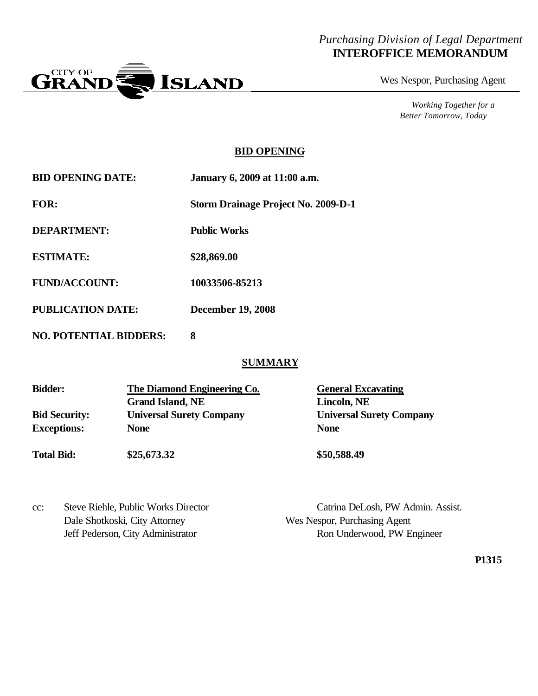### *Purchasing Division of Legal Department* **INTEROFFICE MEMORANDUM**



Wes Nespor, Purchasing Agent

*Working Together for a Better Tomorrow, Today*

#### **BID OPENING**

| <b>BID OPENING DATE:</b> | January 6, 2009 at 11:00 a.m. |
|--------------------------|-------------------------------|
|                          |                               |

**FOR: Storm Drainage Project No. 2009-D-1**

**DEPARTMENT: Public Works**

**ESTIMATE: \$28,869.00**

**FUND/ACCOUNT: 10033506-85213**

**PUBLICATION DATE: December 19, 2008**

**NO. POTENTIAL BIDDERS: 8**

### **SUMMARY**

| <b>Bidder:</b>       | The Diamond Engineering Co.     | <b>General Excavating</b>       |
|----------------------|---------------------------------|---------------------------------|
|                      | <b>Grand Island, NE</b>         | Lincoln, NE                     |
| <b>Bid Security:</b> | <b>Universal Surety Company</b> | <b>Universal Surety Company</b> |
| <b>Exceptions:</b>   | <b>None</b>                     | <b>None</b>                     |
| <b>Total Bid:</b>    | \$25,673.32                     | \$50,588.49                     |

| cc: | Steve Riehle, Public Works Director |
|-----|-------------------------------------|
|     | Dale Shotkoski, City Attorney       |
|     | Jeff Pederson. City Administrator   |

Catrina DeLosh, PW Admin. Assist. Wes Nespor, Purchasing Agent Ron Underwood, PW Engineer

**P1315**